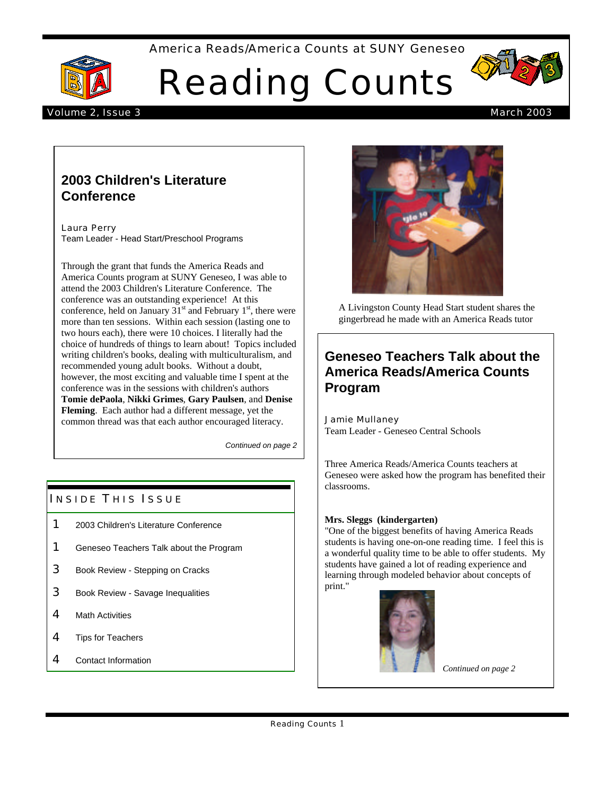America Reads/America Counts at SUNY Geneseo



Reading Counts



### Volume 2, Issue 3 March 2003

# **2003 Children's Literature Conference**

Laura Perry Team Leader - Head Start/Preschool Programs

Through the grant that funds the America Reads and America Counts program at SUNY Geneseo, I was able to attend the 2003 Children's Literature Conference. The conference was an outstanding experience! At this conference, held on January  $31<sup>st</sup>$  and February  $1<sup>st</sup>$ , there were more than ten sessions. Within each session (lasting one to two hours each), there were 10 choices. I literally had the choice of hundreds of things to learn about! Topics included writing children's books, dealing with multiculturalism, and recommended young adult books. Without a doubt, however, the most exciting and valuable time I spent at the conference was in the sessions with children's authors **Tomie dePaola**, **Nikki Grimes**, **Gary Paulsen**, and **Denise Fleming**. Each author had a different message, yet the common thread was that each author encouraged literacy.

*Continued on page 2*

## **INSIDE THIS ISSUE**

- 1 2003 Children's Literature Conference
- **1** Geneseo Teachers Talk about the Program
- **3** Book Review Stepping on Cracks
- **3** Book Review Savage Inequalities
- 4 Math Activities
- 4 Tips for Teachers
- 4 Contact Information



A Livingston County Head Start student shares the gingerbread he made with an America Reads tutor

# **Geneseo Teachers Talk about the America Reads/America Counts Program**

#### Jamie Mullaney Team Leader - Geneseo Central Schools

Three America Reads/America Counts teachers at Geneseo were asked how the program has benefited their classrooms.

## **Mrs. Sleggs (kindergarten)**

"One of the biggest benefits of having America Reads students is having one-on-one reading time. I feel this is a wonderful quality time to be able to offer students. My students have gained a lot of reading experience and learning through modeled behavior about concepts of print."



*Continued on page 2*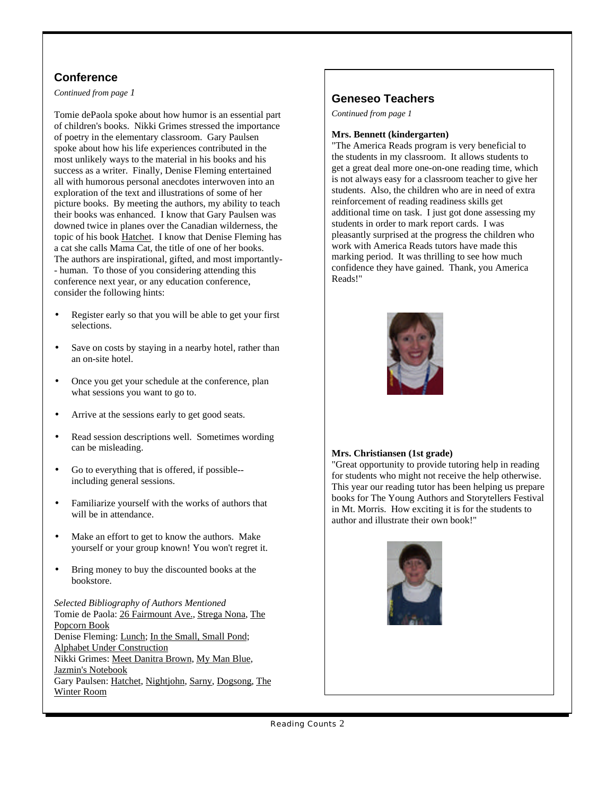# **Conference**

*Continued from page 1*

Tomie dePaola spoke about how humor is an essential part of children's books. Nikki Grimes stressed the importance of poetry in the elementary classroom. Gary Paulsen spoke about how his life experiences contributed in the most unlikely ways to the material in his books and his success as a writer. Finally, Denise Fleming entertained all with humorous personal anecdotes interwoven into an exploration of the text and illustrations of some of her picture books. By meeting the authors, my ability to teach their books was enhanced. I know that Gary Paulsen was downed twice in planes over the Canadian wilderness, the topic of his book Hatchet. I know that Denise Fleming has a cat she calls Mama Cat, the title of one of her books. The authors are inspirational, gifted, and most importantly- - human. To those of you considering attending this conference next year, or any education conference, consider the following hints:

- Register early so that you will be able to get your first selections.
- Save on costs by staying in a nearby hotel, rather than an on-site hotel.
- Once you get your schedule at the conference, plan what sessions you want to go to.
- Arrive at the sessions early to get good seats.
- Read session descriptions well. Sometimes wording can be misleading.
- Go to everything that is offered, if possible- including general sessions.
- Familiarize yourself with the works of authors that will be in attendance.
- Make an effort to get to know the authors. Make yourself or your group known! You won't regret it.
- Bring money to buy the discounted books at the bookstore.

*Selected Bibliography of Authors Mentioned* Tomie de Paola: 26 Fairmount Ave., Strega Nona, The Popcorn Book Denise Fleming: Lunch; In the Small, Small Pond; Alphabet Under Construction Nikki Grimes: Meet Danitra Brown, My Man Blue, Jazmin's Notebook Gary Paulsen: Hatchet, Nightjohn, Sarny, Dogsong, The Winter Room

# **Geneseo Teachers**

*Continued from page 1*

### **Mrs. Bennett (kindergarten)**

"The America Reads program is very beneficial to the students in my classroom. It allows students to get a great deal more one-on-one reading time, which is not always easy for a classroom teacher to give her students. Also, the children who are in need of extra reinforcement of reading readiness skills get additional time on task. I just got done assessing my students in order to mark report cards. I was pleasantly surprised at the progress the children who work with America Reads tutors have made this marking period. It was thrilling to see how much confidence they have gained. Thank, you America Reads!"



## **Mrs. Christiansen (1st grade)**

"Great opportunity to provide tutoring help in reading for students who might not receive the help otherwise. This year our reading tutor has been helping us prepare books for The Young Authors and Storytellers Festival in Mt. Morris. How exciting it is for the students to author and illustrate their own book!"

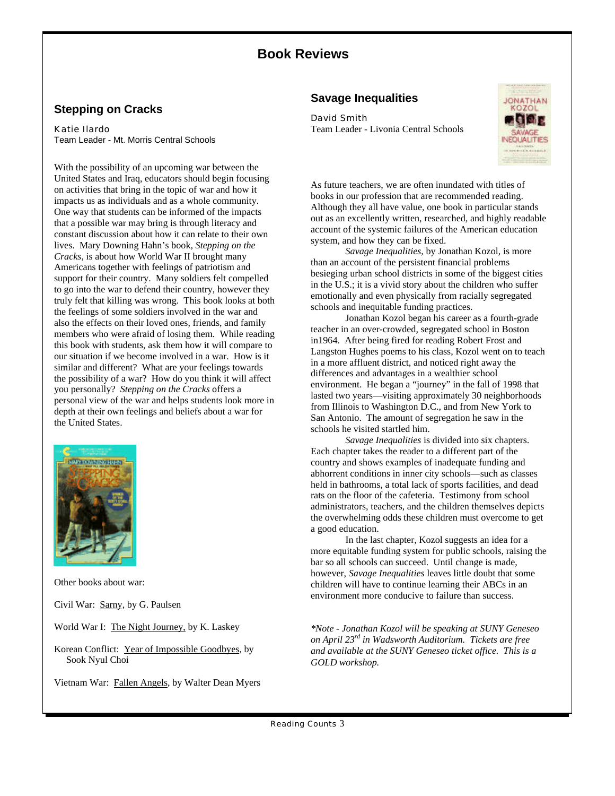# **Book Reviews**

## **Stepping on Cracks**

#### Katie Ilardo

Team Leader - Mt. Morris Central Schools

With the possibility of an upcoming war between the United States and Iraq, educators should begin focusing on activities that bring in the topic of war and how it impacts us as individuals and as a whole community. One way that students can be informed of the impacts that a possible war may bring is through literacy and constant discussion about how it can relate to their own lives. Mary Downing Hahn's book, *Stepping on the Cracks*, is about how World War II brought many Americans together with feelings of patriotism and support for their country. Many soldiers felt compelled to go into the war to defend their country, however they truly felt that killing was wrong. This book looks at both the feelings of some soldiers involved in the war and also the effects on their loved ones, friends, and family members who were afraid of losing them. While reading this book with students, ask them how it will compare to our situation if we become involved in a war. How is it similar and different? What are your feelings towards the possibility of a war? How do you think it will affect you personally? *Stepping on the Cracks* offers a personal view of the war and helps students look more in depth at their own feelings and beliefs about a war for the United States.



Other books about war:

Civil War: Sarny, by G. Paulsen

- World War I: The Night Journey, by K. Laskey
- Korean Conflict: Year of Impossible Goodbyes, by Sook Nyul Choi

Vietnam War: Fallen Angels, by Walter Dean Myers

## **Savage Inequalities**

#### David Smith

Team Leader - Livonia Central Schools



As future teachers, we are often inundated with titles of books in our profession that are recommended reading. Although they all have value, one book in particular stands out as an excellently written, researched, and highly readable account of the systemic failures of the American education system, and how they can be fixed.

*Savage Inequalities*, by Jonathan Kozol, is more than an account of the persistent financial problems besieging urban school districts in some of the biggest cities in the U.S.; it is a vivid story about the children who suffer emotionally and even physically from racially segregated schools and inequitable funding practices.

Jonathan Kozol began his career as a fourth-grade teacher in an over-crowded, segregated school in Boston in1964. After being fired for reading Robert Frost and Langston Hughes poems to his class, Kozol went on to teach in a more affluent district, and noticed right away the differences and advantages in a wealthier school environment. He began a "journey" in the fall of 1998 that lasted two years—visiting approximately 30 neighborhoods from Illinois to Washington D.C., and from New York to San Antonio. The amount of segregation he saw in the schools he visited startled him.

*Savage Inequalities* is divided into six chapters. Each chapter takes the reader to a different part of the country and shows examples of inadequate funding and abhorrent conditions in inner city schools—such as classes held in bathrooms, a total lack of sports facilities, and dead rats on the floor of the cafeteria. Testimony from school administrators, teachers, and the children themselves depicts the overwhelming odds these children must overcome to get a good education.

In the last chapter, Kozol suggests an idea for a more equitable funding system for public schools, raising the bar so all schools can succeed. Until change is made, however, *Savage Inequalities* leaves little doubt that some children will have to continue learning their ABCs in an environment more conducive to failure than success.

*\*Note - Jonathan Kozol will be speaking at SUNY Geneseo on April 23rd in Wadsworth Auditorium. Tickets are free and available at the SUNY Geneseo ticket office. This is a GOLD workshop.*